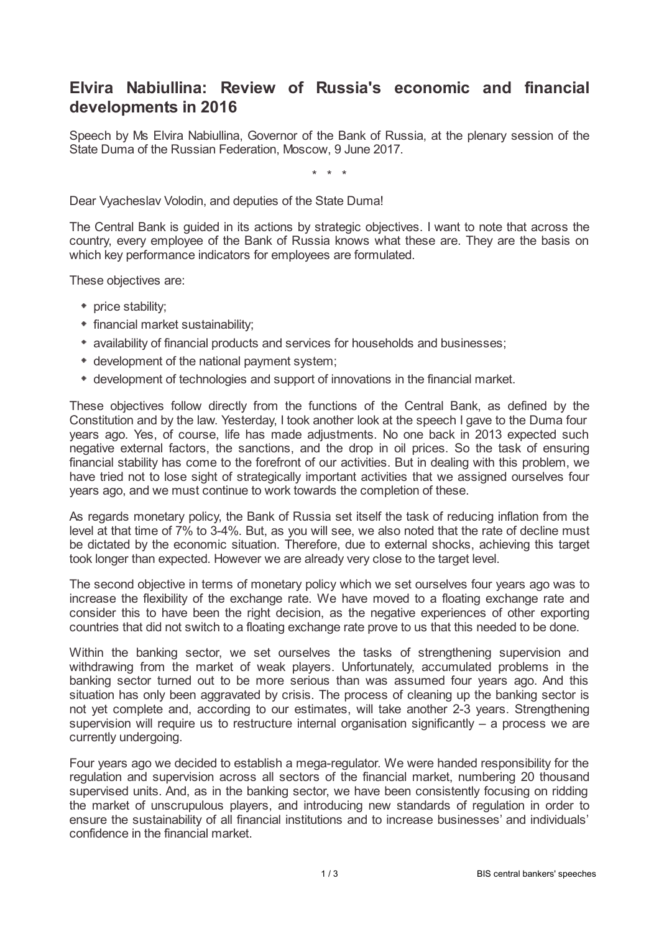## **Elvira Nabiullina: Review of Russia's economic and financial developments in 2016**

Speech by Ms Elvira Nabiullina, Governor of the Bank of Russia, at the plenary session of the State Duma of the Russian Federation, Moscow, 9 June 2017.

\* \* \*

Dear Vyacheslav Volodin, and deputies of the State Duma!

The Central Bank is guided in its actions by strategic objectives. I want to note that across the country, every employee of the Bank of Russia knows what these are. They are the basis on which key performance indicators for employees are formulated.

These objectives are:

- price stability;
- financial market sustainability;
- availability of financial products and services for households and businesses;
- development of the national payment system;
- development of technologies and support of innovations in the financial market.

These objectives follow directly from the functions of the Central Bank, as defined by the Constitution and by the law. Yesterday, I took another look at the speech I gave to the Duma four years ago. Yes, of course, life has made adjustments. No one back in 2013 expected such negative external factors, the sanctions, and the drop in oil prices. So the task of ensuring financial stability has come to the forefront of our activities. But in dealing with this problem, we have tried not to lose sight of strategically important activities that we assigned ourselves four years ago, and we must continue to work towards the completion of these.

As regards monetary policy, the Bank of Russia set itself the task of reducing inflation from the level at that time of 7% to 3-4%. But, as you will see, we also noted that the rate of decline must be dictated by the economic situation. Therefore, due to external shocks, achieving this target took longer than expected. However we are already very close to the target level.

The second objective in terms of monetary policy which we set ourselves four years ago was to increase the flexibility of the exchange rate. We have moved to a floating exchange rate and consider this to have been the right decision, as the negative experiences of other exporting countries that did not switch to a floating exchange rate prove to us that this needed to be done.

Within the banking sector, we set ourselves the tasks of strengthening supervision and withdrawing from the market of weak players. Unfortunately, accumulated problems in the banking sector turned out to be more serious than was assumed four years ago. And this situation has only been aggravated by crisis. The process of cleaning up the banking sector is not yet complete and, according to our estimates, will take another 2-3 years. Strengthening supervision will require us to restructure internal organisation significantly  $-$  a process we are currently undergoing.

Four years ago we decided to establish a mega-regulator. We were handed responsibility for the regulation and supervision across all sectors of the financial market, numbering 20 thousand supervised units. And, as in the banking sector, we have been consistently focusing on ridding the market of unscrupulous players, and introducing new standards of regulation in order to ensure the sustainability of all financial institutions and to increase businesses' and individuals' confidence in the financial market.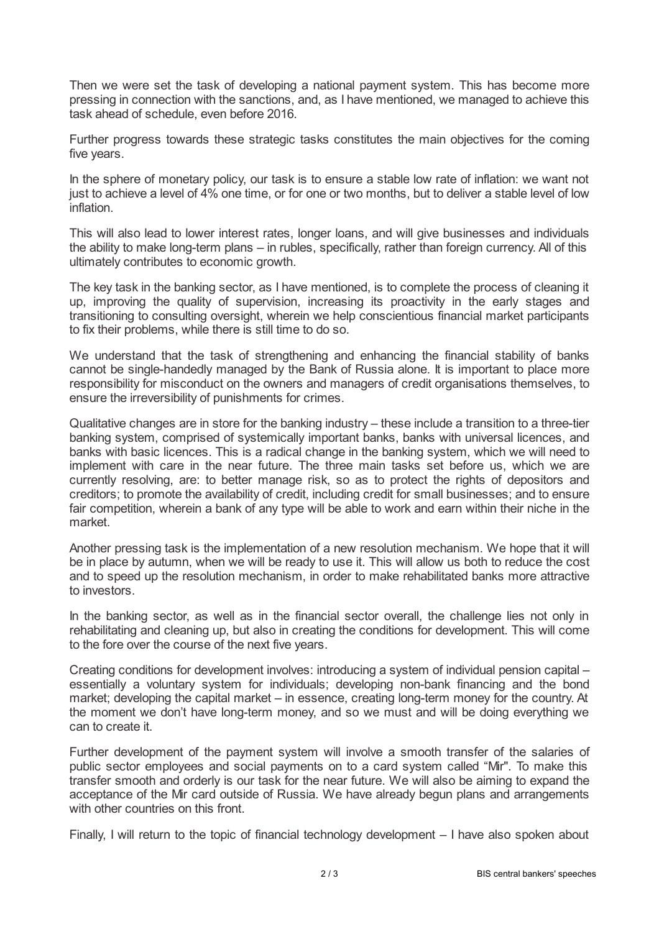Then we were set the task of developing a national payment system. This has become more pressing in connection with the sanctions, and, as I have mentioned, we managed to achieve this task ahead of schedule, even before 2016.

Further progress towards these strategic tasks constitutes the main objectives for the coming five years.

In the sphere of monetary policy, our task is to ensure a stable low rate of inflation: we want not just to achieve a level of 4% one time, or for one or two months, but to deliver a stable level of low inflation.

This will also lead to lower interest rates, longer loans, and will give businesses and individuals the ability to make long-term plans – in rubles, specifically, rather than foreign currency. All of this ultimately contributes to economic growth.

The key task in the banking sector, as I have mentioned, is to complete the process of cleaning it up, improving the quality of supervision, increasing its proactivity in the early stages and transitioning to consulting oversight, wherein we help conscientious financial market participants to fix their problems, while there is still time to do so.

We understand that the task of strengthening and enhancing the financial stability of banks cannot be single-handedly managed by the Bank of Russia alone. It is important to place more responsibility for misconduct on the owners and managers of credit organisations themselves, to ensure the irreversibility of punishments for crimes.

Qualitative changes are in store for the banking industry – these include a transition to a three-tier banking system, comprised of systemically important banks, banks with universal licences, and banks with basic licences. This is a radical change in the banking system, which we will need to implement with care in the near future. The three main tasks set before us, which we are currently resolving, are: to better manage risk, so as to protect the rights of depositors and creditors; to promote the availability of credit, including credit for small businesses; and to ensure fair competition, wherein a bank of any type will be able to work and earn within their niche in the market.

Another pressing task is the implementation of a new resolution mechanism. We hope that it will be in place by autumn, when we will be ready to use it. This will allow us both to reduce the cost and to speed up the resolution mechanism, in order to make rehabilitated banks more attractive to investors.

In the banking sector, as well as in the financial sector overall, the challenge lies not only in rehabilitating and cleaning up, but also in creating the conditions for development. This will come to the fore over the course of the next five years.

Creating conditions for development involves: introducing a system of individual pension capital – essentially a voluntary system for individuals; developing non-bank financing and the bond market; developing the capital market – in essence, creating long-term money for the country. At the moment we don't have long-term money, and so we must and will be doing everything we can to create it.

Further development of the payment system will involve a smooth transfer of the salaries of public sector employees and social payments on to a card system called "Mir". To make this transfer smooth and orderly is our task for the near future. We will also be aiming to expand the acceptance of the Mir card outside of Russia. We have already begun plans and arrangements with other countries on this front.

Finally, I will return to the topic of financial technology development – I have also spoken about